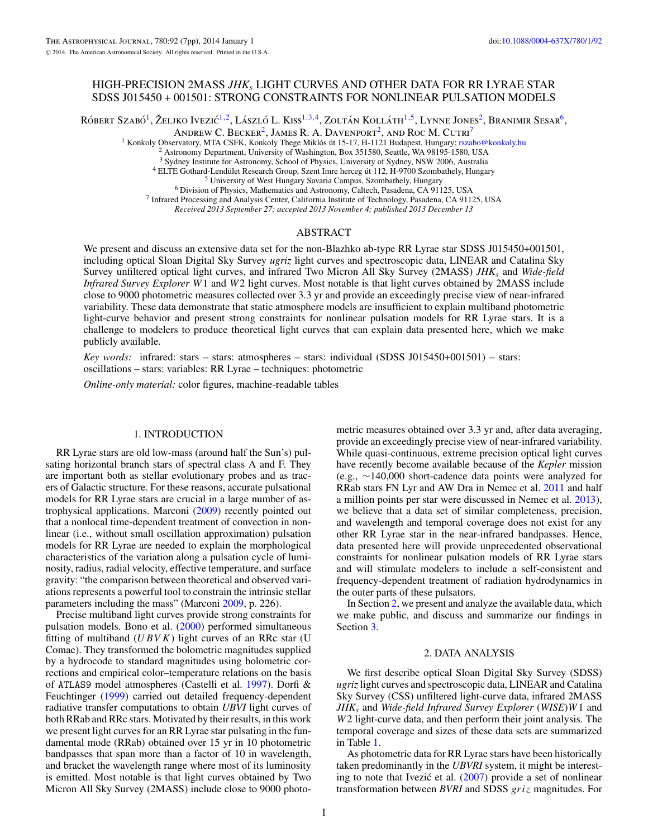# HIGH-PRECISION 2MASS *JHKs* LIGHT CURVES AND OTHER DATA FOR RR LYRAE STAR SDSS J015450 + 001501: STRONG CONSTRAINTS FOR NONLINEAR PULSATION MODELS

RÓBERT SZABÓ<sup>1</sup>, ŽELJKO IVEZIĆ<sup>1, 2</sup>, LÁSZLÓ L. KISS<sup>1, 3, 4</sup>, ZOLTÁN KOLLÁTH<sup>1, 5</sup>, LYNNE JONES<sup>2</sup>, BRANIMIR SESAR<sup>6</sup>,

ANDREW C. BECKER<sup>2</sup>, JAMES R. A. DAVENPORT<sup>2</sup>, AND ROC M. CUTRI<sup>7</sup>

<sup>1</sup> Konkoly Observatory, MTA CSFK, Konkoly Thege Miklós út 15-17, H-1121 Budapest, Hungary;  $rszabo@konkoly.hu$ <br><sup>2</sup> Astronomy Department, University of Washington, Box 351580, Seattle, WA 98195-1580, USA<br><sup>3</sup> Sydney Institute for A

<sup>4</sup> ELTE Gothard-Lendület Research Group, Szent Imre herceg út 112, H-9700 Szombathely, Hungary<br><sup>5</sup> University of West Hungary Savaria Campus, Szombathely, Hungary<br><sup>6</sup> Division of Physics, Mathematics and Astronomy, Calte

*Received 2013 September 27; accepted 2013 November 4; published 2013 December 13*

# ABSTRACT

We present and discuss an extensive data set for the non-Blazhko ab-type RR Lyrae star SDSS J015450+001501, including optical Sloan Digital Sky Survey *ugriz* light curves and spectroscopic data, LINEAR and Catalina Sky Survey unfiltered optical light curves, and infrared Two Micron All Sky Survey (2MASS) *JHKs* and *Wide-field Infrared Survey Explorer W*1 and *W*2 light curves. Most notable is that light curves obtained by 2MASS include close to 9000 photometric measures collected over 3.3 yr and provide an exceedingly precise view of near-infrared variability. These data demonstrate that static atmosphere models are insufficient to explain multiband photometric light-curve behavior and present strong constraints for nonlinear pulsation models for RR Lyrae stars. It is a challenge to modelers to produce theoretical light curves that can explain data presented here, which we make publicly available.

*Key words:* infrared: stars – stars: atmospheres – stars: individual (SDSS J015450+001501) – stars: oscillations – stars: variables: RR Lyrae – techniques: photometric

*Online-only material:* color figures, machine-readable tables

#### 1. INTRODUCTION

RR Lyrae stars are old low-mass (around half the Sun's) pulsating horizontal branch stars of spectral class A and F. They are important both as stellar evolutionary probes and as tracers of Galactic structure. For these reasons, accurate pulsational models for RR Lyrae stars are crucial in a large number of astrophysical applications. Marconi [\(2009\)](#page-6-0) recently pointed out that a nonlocal time-dependent treatment of convection in nonlinear (i.e., without small oscillation approximation) pulsation models for RR Lyrae are needed to explain the morphological characteristics of the variation along a pulsation cycle of luminosity, radius, radial velocity, effective temperature, and surface gravity: "the comparison between theoretical and observed variations represents a powerful tool to constrain the intrinsic stellar parameters including the mass" (Marconi [2009,](#page-6-0) p. 226).

Precise multiband light curves provide strong constraints for pulsation models. Bono et al. [\(2000\)](#page-6-0) performed simultaneous fitting of multiband  $(UBVK)$  light curves of an RRc star (U Comae). They transformed the bolometric magnitudes supplied by a hydrocode to standard magnitudes using bolometric corrections and empirical color–temperature relations on the basis of ATLAS9 model atmospheres (Castelli et al. [1997\)](#page-6-0). Dorfi & Feuchtinger [\(1999\)](#page-6-0) carried out detailed frequency-dependent radiative transfer computations to obtain *UBVI* light curves of both RRab and RRc stars. Motivated by their results, in this work we present light curves for an RR Lyrae star pulsating in the fundamental mode (RRab) obtained over 15 yr in 10 photometric bandpasses that span more than a factor of 10 in wavelength, and bracket the wavelength range where most of its luminosity is emitted. Most notable is that light curves obtained by Two Micron All Sky Survey (2MASS) include close to 9000 photo-

metric measures obtained over 3.3 yr and, after data averaging, provide an exceedingly precise view of near-infrared variability. While quasi-continuous, extreme precision optical light curves have recently become available because of the *Kepler* mission (e.g., ∼140,000 short-cadence data points were analyzed for RRab stars FN Lyr and AW Dra in Nemec et al. [2011](#page-6-0) and half a million points per star were discussed in Nemec et al. [2013\)](#page-6-0), we believe that a data set of similar completeness, precision, and wavelength and temporal coverage does not exist for any other RR Lyrae star in the near-infrared bandpasses. Hence, data presented here will provide unprecedented observational constraints for nonlinear pulsation models of RR Lyrae stars and will stimulate modelers to include a self-consistent and frequency-dependent treatment of radiation hydrodynamics in the outer parts of these pulsators.

In Section 2, we present and analyze the available data, which we make public, and discuss and summarize our findings in Section [3.](#page-5-0)

#### 2. DATA ANALYSIS

We first describe optical Sloan Digital Sky Survey (SDSS) *ugriz*light curves and spectroscopic data, LINEAR and Catalina Sky Survey (CSS) unfiltered light-curve data, infrared 2MASS *JHKs* and *Wide-field Infrared Survey Explorer* (*WISE*)*W*1 and *W*2 light-curve data, and then perform their joint analysis. The temporal coverage and sizes of these data sets are summarized in Table [1.](#page-1-0)

As photometric data for RR Lyrae stars have been historically taken predominantly in the *UBVRI* system, it might be interesting to note that Ivezić et al.  $(2007)$  $(2007)$  provide a set of nonlinear transformation between *BVRI* and SDSS *griz* magnitudes. For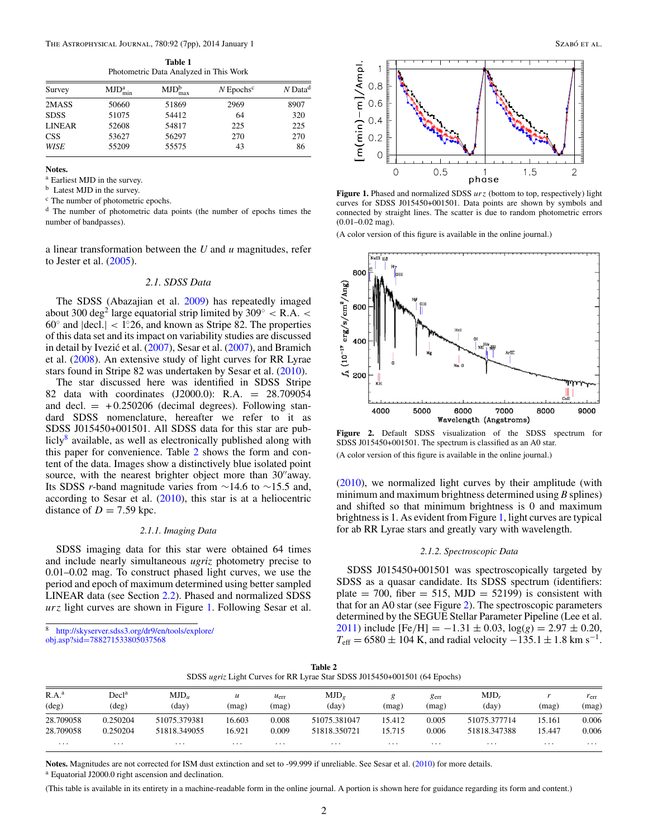**Table 1** Photometric Data Analyzed in This Work

<span id="page-1-0"></span>

| Survey        | $MJD_{\text{min}}^a$ | $MJD_{max}^{b}$ | $N$ Epochs <sup>c</sup> | $N$ Data <sup>d</sup> |
|---------------|----------------------|-----------------|-------------------------|-----------------------|
| 2MASS         | 50660                | 51869           | 2969                    | 8907                  |
| <b>SDSS</b>   | 51075                | 54412           | 64                      | 320                   |
| <b>LINEAR</b> | 52608                | 54817           | 225                     | 225                   |
| <b>CSS</b>    | 53627                | 56297           | 270                     | 270                   |
| WISE          | 55209                | 55575           | 43                      | 86                    |
|               |                      |                 |                         |                       |

**Notes.**

<sup>a</sup> Earliest MJD in the survey.

<sup>b</sup> Latest MJD in the survey.

<sup>c</sup> The number of photometric epochs.

<sup>d</sup> The number of photometric data points (the number of epochs times the number of bandpasses).

a linear transformation between the *U* and *u* magnitudes, refer to Jester et al. [\(2005\)](#page-6-0).

# *2.1. SDSS Data*

The SDSS (Abazajian et al. [2009\)](#page-6-0) has repeatedly imaged about 300 deg2 large equatorial strip limited by 309◦ *<* R*.*A*. <* 60◦ and |decl*.*| *<* 1*.* ◦26, and known as Stripe 82. The properties of this data set and its impact on variability studies are discussed in detail by Ivezić et al. ([2007\)](#page-6-0), Sesar et al. [\(2007\)](#page-6-0), and Bramich et al. [\(2008\)](#page-6-0). An extensive study of light curves for RR Lyrae stars found in Stripe 82 was undertaken by Sesar et al. [\(2010\)](#page-6-0).

The star discussed here was identified in SDSS Stripe 82 data with coordinates (J2000.0): R.A. = 28.709054 and decl.  $= +0.250206$  (decimal degrees). Following standard SDSS nomenclature, hereafter we refer to it as SDSS J015450+001501. All SDSS data for this star are publicly<sup>8</sup> available, as well as electronically published along with this paper for convenience. Table 2 shows the form and content of the data. Images show a distinctively blue isolated point source, with the nearest brighter object more than 30" away. Its SDSS *r*-band magnitude varies from ∼14.6 to ∼15.5 and, according to Sesar et al. [\(2010\)](#page-6-0), this star is at a heliocentric distance of  $D = 7.59$  kpc.

### *2.1.1. Imaging Data*

SDSS imaging data for this star were obtained 64 times and include nearly simultaneous *ugriz* photometry precise to 0.01–0.02 mag. To construct phased light curves, we use the period and epoch of maximum determined using better sampled LINEAR data (see Section [2.2\)](#page-2-0). Phased and normalized SDSS *urz* light curves are shown in Figure 1. Following Sesar et al.

[http://skyserver.sdss3.org/dr9/en/tools/explore/](http://skyserver.sdss3.org/dr9/en/tools/explore/obj.asp?sid=788271533805037568)

obj.asp?sid=[788271533805037568](http://skyserver.sdss3.org/dr9/en/tools/explore/obj.asp?sid=788271533805037568)



**Figure 1.** Phased and normalized SDSS *urz* (bottom to top, respectively) light curves for SDSS J015450+001501. Data points are shown by symbols and connected by straight lines. The scatter is due to random photometric errors (0.01–0.02 mag).

(A color version of this figure is available in the online journal.)



**Figure 2.** Default SDSS visualization of the SDSS spectrum for SDSS J015450+001501. The spectrum is classified as an A0 star. (A color version of this figure is available in the online journal.)

[\(2010\)](#page-6-0), we normalized light curves by their amplitude (with minimum and maximum brightness determined using *B* splines) and shifted so that minimum brightness is 0 and maximum brightness is 1. As evident from Figure 1, light curves are typical for ab RR Lyrae stars and greatly vary with wavelength.

# *2.1.2. Spectroscopic Data*

SDSS J015450+001501 was spectroscopically targeted by SDSS as a quasar candidate. Its SDSS spectrum (identifiers: plate  $= 700$ , fiber  $= 515$ , MJD  $= 52199$ ) is consistent with that for an A0 star (see Figure 2). The spectroscopic parameters determined by the SEGUE Stellar Parameter Pipeline (Lee et al. [2011\)](#page-6-0) include  $[Fe/H] = -1.31 \pm 0.03$ ,  $log(g) = 2.97 \pm 0.20$ ,  $T_{\text{eff}} = 6580 \pm 104$  K, and radial velocity  $-135.1 \pm 1.8$  km s<sup>-1</sup>.

| Table 2                                                                   |  |
|---------------------------------------------------------------------------|--|
| SDSS ugriz Light Curves for RR Lyrae Star SDSS J015450+001501 (64 Epochs) |  |

| R.A. <sup>a</sup><br>$(\text{deg})$ | $\rm Decl^a$<br>$(\text{deg})$ | $MJD_u$<br>(day) | $\boldsymbol{u}$<br>(mag) | $u_{\text{err}}$<br>(mag) | $MJD_e$<br>(day) | mag    | $g_{\text{err}}$<br>(mag) | $MJD_r$<br>(day) | (mag)  | $r_{\rm err}$<br>(mag) |
|-------------------------------------|--------------------------------|------------------|---------------------------|---------------------------|------------------|--------|---------------------------|------------------|--------|------------------------|
| 28.709058                           | 0.250204                       | 51075.379381     | 16.603                    | 0.008                     | 51075.381047     | 15.412 | 0.005                     | 51075.377714     | 15.161 | 0.006                  |
| 28.709058                           | 0.250204                       | 51818.349055     | 16.921                    | 0.009                     | 51818.350721     | 15.715 | 0.006                     | 51818.347388     | 15.447 | 0.006                  |
| $\cdots$                            | .                              | .                | .                         | $\cdots$                  | .                | .      | .                         | .                | .      | $\cdots$               |

Notes. Magnitudes are not corrected for ISM dust extinction and set to -99.999 if unreliable. See Sesar et al. [\(2010\)](#page-6-0) for more details.

<sup>a</sup> Equatorial J2000.0 right ascension and declination.

(This table is available in its entirety in a machine-readable form in the online journal. A portion is shown here for guidance regarding its form and content.)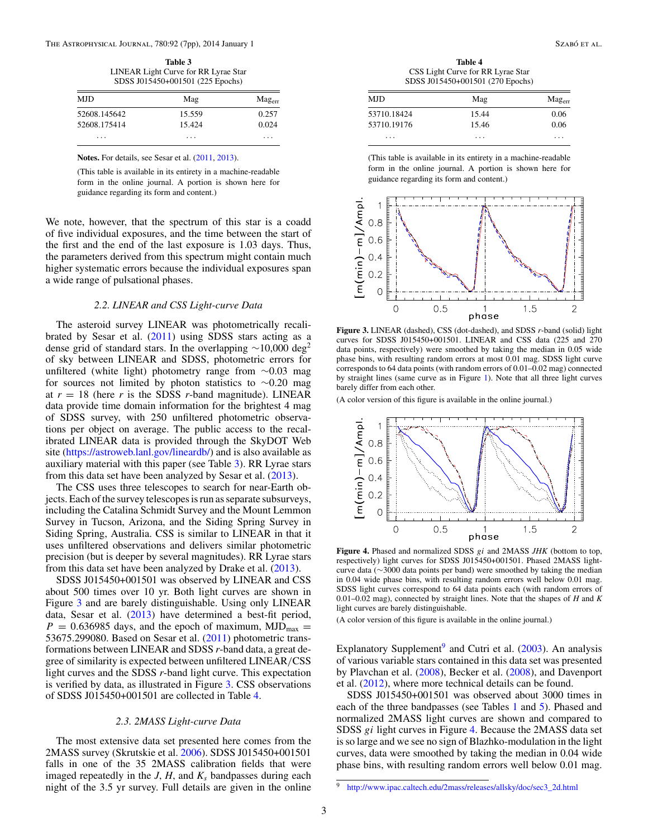<span id="page-2-0"></span>The Astrophysical Journal, 780:92 (7pp), 2014 January 1 Szabó et al.  $SzAB$ ó et al.  $SzAB$ ó et al.

**Table 3** LINEAR Light Curve for RR Lyrae Star SDSS J015450+001501 (225 Epochs)

| MJD.         | Mag    | $\text{Mag}_{err}$ |  |  |
|--------------|--------|--------------------|--|--|
| 52608.145642 | 15.559 | 0.257              |  |  |
| 52608.175414 | 15.424 | 0.024              |  |  |
| .            | .      | .                  |  |  |

Notes. For details, see Sesar et al. [\(2011,](#page-6-0) [2013\)](#page-6-0).

(This table is available in its entirety in a machine-readable form in the online journal. A portion is shown here for guidance regarding its form and content.)

We note, however, that the spectrum of this star is a coadd of five individual exposures, and the time between the start of the first and the end of the last exposure is 1.03 days. Thus, the parameters derived from this spectrum might contain much higher systematic errors because the individual exposures span a wide range of pulsational phases.

# *2.2. LINEAR and CSS Light-curve Data*

The asteroid survey LINEAR was photometrically recalibrated by Sesar et al. [\(2011\)](#page-6-0) using SDSS stars acting as a dense grid of standard stars. In the overlapping  $\sim$ 10,000 deg<sup>2</sup> of sky between LINEAR and SDSS, photometric errors for unfiltered (white light) photometry range from ∼0.03 mag for sources not limited by photon statistics to ∼0.20 mag at  $r = 18$  (here  $r$  is the SDSS  $r$ -band magnitude). LINEAR data provide time domain information for the brightest 4 mag of SDSS survey, with 250 unfiltered photometric observations per object on average. The public access to the recalibrated LINEAR data is provided through the SkyDOT Web site [\(https://astroweb.lanl.gov/lineardb/\)](https://astroweb.lanl.gov/lineardb/) and is also available as auxiliary material with this paper (see Table 3). RR Lyrae stars from this data set have been analyzed by Sesar et al. [\(2013\)](#page-6-0).

The CSS uses three telescopes to search for near-Earth objects. Each of the survey telescopes is run as separate subsurveys, including the Catalina Schmidt Survey and the Mount Lemmon Survey in Tucson, Arizona, and the Siding Spring Survey in Siding Spring, Australia. CSS is similar to LINEAR in that it uses unfiltered observations and delivers similar photometric precision (but is deeper by several magnitudes). RR Lyrae stars from this data set have been analyzed by Drake et al. [\(2013\)](#page-6-0).

SDSS J015450+001501 was observed by LINEAR and CSS about 500 times over 10 yr. Both light curves are shown in Figure 3 and are barely distinguishable. Using only LINEAR data, Sesar et al. [\(2013\)](#page-6-0) have determined a best-fit period,  $P = 0.636985$  days, and the epoch of maximum, MJD<sub>max</sub> = 53675.299080. Based on Sesar et al. [\(2011\)](#page-6-0) photometric transformations between LINEAR and SDSS *r*-band data, a great degree of similarity is expected between unfiltered LINEAR*/*CSS light curves and the SDSS *r*-band light curve. This expectation is verified by data, as illustrated in Figure 3. CSS observations of SDSS J015450+001501 are collected in Table 4.

### *2.3. 2MASS Light-curve Data*

The most extensive data set presented here comes from the 2MASS survey (Skrutskie et al. [2006\)](#page-6-0). SDSS J015450+001501 falls in one of the 35 2MASS calibration fields that were imaged repeatedly in the  $J$ ,  $H$ , and  $K_s$  bandpasses during each night of the 3.5 yr survey. Full details are given in the online

**Table 4** CSS Light Curve for RR Lyrae Star SDSS J015450+001501 (270 Epochs)

| MJD.        | Mag   | $\text{Mag}_{err}$ |  |
|-------------|-------|--------------------|--|
| 53710.18424 | 15.44 | 0.06               |  |
| 53710.19176 | 15.46 | 0.06               |  |
| $\cdots$    | .     | .                  |  |

(This table is available in its entirety in a machine-readable form in the online journal. A portion is shown here for guidance regarding its form and content.)



**Figure 3.** LINEAR (dashed), CSS (dot-dashed), and SDSS *r*-band (solid) light curves for SDSS J015450+001501. LINEAR and CSS data (225 and 270 data points, respectively) were smoothed by taking the median in 0.05 wide phase bins, with resulting random errors at most 0.01 mag. SDSS light curve corresponds to 64 data points (with random errors of 0.01–0.02 mag) connected by straight lines (same curve as in Figure [1\)](#page-1-0). Note that all three light curves barely differ from each other.

(A color version of this figure is available in the online journal.)



**Figure 4.** Phased and normalized SDSS *gi* and 2MASS *JHK* (bottom to top, respectively) light curves for SDSS J015450+001501. Phased 2MASS lightcurve data (∼3000 data points per band) were smoothed by taking the median in 0.04 wide phase bins, with resulting random errors well below 0.01 mag. SDSS light curves correspond to 64 data points each (with random errors of 0.01–0.02 mag), connected by straight lines. Note that the shapes of *H* and *K* light curves are barely distinguishable.

(A color version of this figure is available in the online journal.)

Explanatory Supplement<sup>9</sup> and Cutri et al.  $(2003)$ . An analysis of various variable stars contained in this data set was presented by Plavchan et al. [\(2008\)](#page-6-0), Becker et al. [\(2008\)](#page-6-0), and Davenport et al. [\(2012\)](#page-6-0), where more technical details can be found.

SDSS J015450+001501 was observed about 3000 times in each of the three bandpasses (see Tables [1](#page-1-0) and [5\)](#page-3-0). Phased and normalized 2MASS light curves are shown and compared to SDSS *gi* light curves in Figure 4. Because the 2MASS data set is so large and we see no sign of Blazhko-modulation in the light curves, data were smoothed by taking the median in 0.04 wide phase bins, with resulting random errors well below 0.01 mag.

<sup>9</sup> [http://www.ipac.caltech.edu/2mass/releases/allsky/doc/sec3\\_2d.html](http://www.ipac.caltech.edu/2mass/releases/allsky/doc/sec3_2d.html)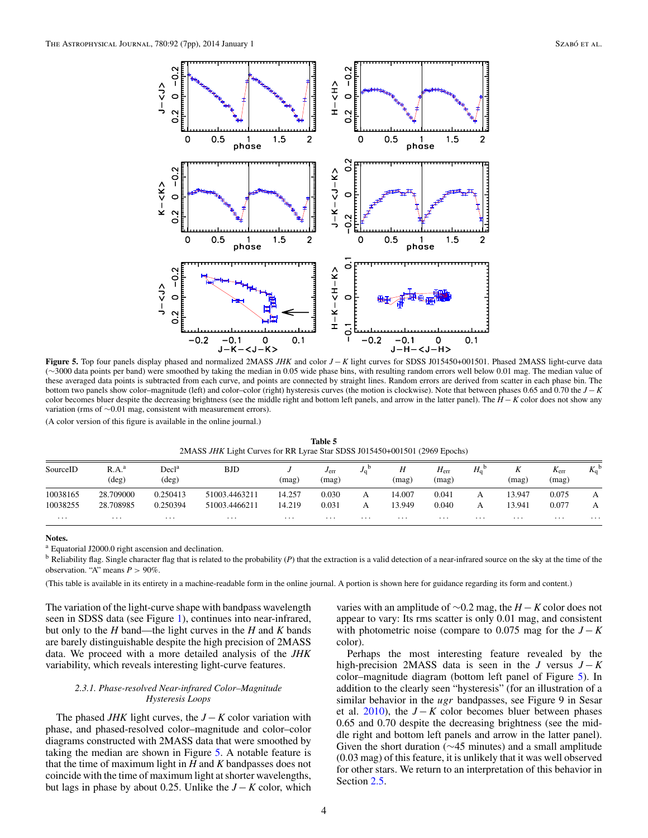<span id="page-3-0"></span>

**Figure 5.** Top four panels display phased and normalized 2MASS *JHK* and color *J* − *K* light curves for SDSS J015450+001501. Phased 2MASS light-curve data (∼3000 data points per band) were smoothed by taking the median in 0.05 wide phase bins, with resulting random errors well below 0.01 mag. The median value of these averaged data points is subtracted from each curve, and points are connected by straight lines. Random errors are derived from scatter in each phase bin. The bottom two panels show color–magnitude (left) and color–color (right) hysteresis curves (the motion is clockwise). Note that between phases 0.65 and 0.70 the *J* − *K* color becomes bluer despite the decreasing brightness (see the middle right and bottom left panels, and arrow in the latter panel). The *H* − *K* color does not show any variation (rms of ∼0*.*01 mag, consistent with measurement errors).

(A color version of this figure is available in the online journal.)

**Table 5** 2MASS *JHK* Light Curves for RR Lyrae Star SDSS J015450+001501 (2969 Epochs)

| SourceID | R.A. <sup>a</sup><br>$(\text{deg})$ | Decl <sup>a</sup><br>$(\deg)$ | <b>BJD</b>    | (mag)    | $J_{\text{err}}$<br>(mag) | $J_{\rm G}$ | Η<br>(mag) | $H_{\rm err}$<br>(mag) | $H_0^{\text{b}}$ | л<br>(mag) | $\boldsymbol{\nu}$<br>$\Lambda_{\rm{err}}$<br>(mag) | $\nu$ t<br>$\mathbf{v}_0$ |
|----------|-------------------------------------|-------------------------------|---------------|----------|---------------------------|-------------|------------|------------------------|------------------|------------|-----------------------------------------------------|---------------------------|
| 10038165 | 28.709000                           | 0.250413                      | 51003.4463211 | 14.257   | 0.030                     | А           | 14.007     | 0.041                  | А                | 13.947     | 0.075                                               |                           |
| 10038255 | 28.708985                           | 0.250394                      | 51003.4466211 | 14.219   | 0.031                     |             | 13.949     | 0.040                  | А                | 13.941     | 0.077                                               |                           |
| $\cdots$ | $\cdots$                            | $\cdots$                      | $\cdots$      | $\cdots$ | $\cdots$                  | $\cdots$    | $\cdots$   | $\cdots$               | $\cdots$         | $\cdots$   | $\cdots$                                            | $\cdots$                  |

#### **Notes.**

<sup>a</sup> Equatorial J2000.0 right ascension and declination.

<sup>b</sup> Reliability flag. Single character flag that is related to the probability (*P*) that the extraction is a valid detection of a near-infrared source on the sky at the time of the observation. "A" means  $P > 90\%$ .

(This table is available in its entirety in a machine-readable form in the online journal. A portion is shown here for guidance regarding its form and content.)

The variation of the light-curve shape with bandpass wavelength seen in SDSS data (see Figure [1\)](#page-1-0), continues into near-infrared, but only to the *H* band—the light curves in the *H* and *K* bands are barely distinguishable despite the high precision of 2MASS data. We proceed with a more detailed analysis of the *JHK* variability, which reveals interesting light-curve features.

### *2.3.1. Phase-resolved Near-infrared Color–Magnitude Hysteresis Loops*

The phased *JHK* light curves, the *J* − *K* color variation with phase, and phased-resolved color–magnitude and color–color diagrams constructed with 2MASS data that were smoothed by taking the median are shown in Figure 5. A notable feature is that the time of maximum light in *H* and *K* bandpasses does not coincide with the time of maximum light at shorter wavelengths, but lags in phase by about 0.25. Unlike the  $J - K$  color, which

varies with an amplitude of ∼0.2 mag, the *H* − *K* color does not appear to vary: Its rms scatter is only 0.01 mag, and consistent with photometric noise (compare to  $0.075$  mag for the  $J - K$ color).

Perhaps the most interesting feature revealed by the high-precision 2MASS data is seen in the *J* versus  $J - K$ color–magnitude diagram (bottom left panel of Figure 5). In addition to the clearly seen "hysteresis" (for an illustration of a similar behavior in the *ugr* bandpasses, see Figure 9 in Sesar et al. [2010\)](#page-6-0), the  $J - K$  color becomes bluer between phases 0.65 and 0.70 despite the decreasing brightness (see the middle right and bottom left panels and arrow in the latter panel). Given the short duration (∼45 minutes) and a small amplitude (0.03 mag) of this feature, it is unlikely that it was well observed for other stars. We return to an interpretation of this behavior in Section [2.5.](#page-4-0)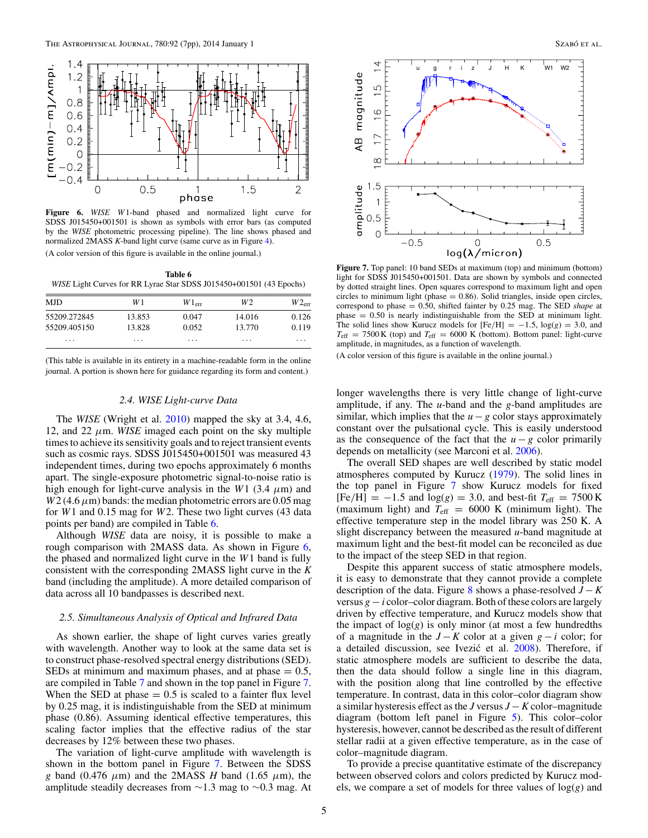<span id="page-4-0"></span>

**Figure 6.** *WISE W*1-band phased and normalized light curve for SDSS J015450+001501 is shown as symbols with error bars (as computed by the *WISE* photometric processing pipeline). The line shows phased and normalized 2MASS *K*-band light curve (same curve as in Figure [4\)](#page-2-0).

(A color version of this figure is available in the online journal.)

**Table 6** *WISE* Light Curves for RR Lyrae Star SDSS J015450+001501 (43 Epochs)

| MJD.         | W 1    | $W1_{err}$ | W2     | $W2_{\text{err}}$ |
|--------------|--------|------------|--------|-------------------|
| 55209.272845 | 13.853 | 0.047      | 14.016 | 0.126             |
| 55209.405150 | 13.828 | 0.052      | 13.770 | 0.119             |
| .            | .      | .          | .      | .                 |

(This table is available in its entirety in a machine-readable form in the online journal. A portion is shown here for guidance regarding its form and content.)

# *2.4. WISE Light-curve Data*

The *WISE* (Wright et al. [2010\)](#page-6-0) mapped the sky at 3.4, 4.6, 12, and 22  $\mu$ m. *WISE* imaged each point on the sky multiple times to achieve its sensitivity goals and to reject transient events such as cosmic rays. SDSS J015450+001501 was measured 43 independent times, during two epochs approximately 6 months apart. The single-exposure photometric signal-to-noise ratio is high enough for light-curve analysis in the *W*1 (3.4  $\mu$ m) and  $W2$  (4.6  $\mu$ m) bands: the median photometric errors are 0.05 mag for *W*1 and 0.15 mag for *W*2. These two light curves (43 data points per band) are compiled in Table 6.

Although *WISE* data are noisy, it is possible to make a rough comparison with 2MASS data. As shown in Figure 6, the phased and normalized light curve in the *W*1 band is fully consistent with the corresponding 2MASS light curve in the *K* band (including the amplitude). A more detailed comparison of data across all 10 bandpasses is described next.

### *2.5. Simultaneous Analysis of Optical and Infrared Data*

As shown earlier, the shape of light curves varies greatly with wavelength. Another way to look at the same data set is to construct phase-resolved spectral energy distributions (SED). SEDs at minimum and maximum phases, and at phase  $= 0.5$ , are compiled in Table [7](#page-5-0) and shown in the top panel in Figure 7. When the SED at phase  $= 0.5$  is scaled to a fainter flux level by 0.25 mag, it is indistinguishable from the SED at minimum phase (0.86). Assuming identical effective temperatures, this scaling factor implies that the effective radius of the star decreases by 12% between these two phases.

The variation of light-curve amplitude with wavelength is shown in the bottom panel in Figure 7. Between the SDSS *g* band (0.476  $\mu$ m) and the 2MASS *H* band (1.65  $\mu$ m), the amplitude steadily decreases from ∼1.3 mag to ∼0.3 mag. At



**Figure 7.** Top panel: 10 band SEDs at maximum (top) and minimum (bottom) light for SDSS J015450+001501. Data are shown by symbols and connected by dotted straight lines. Open squares correspond to maximum light and open circles to minimum light (phase  $= 0.86$ ). Solid triangles, inside open circles, correspond to phase = 0.50, shifted fainter by 0.25 mag. The SED *shape* at  $phase = 0.50$  is nearly indistinguishable from the SED at minimum light. The solid lines show Kurucz models for  $[Fe/H] = -1.5$ ,  $log(g) = 3.0$ , and  $T_{\text{eff}}$  = 7500 K (top) and  $T_{\text{eff}}$  = 6000 K (bottom). Bottom panel: light-curve amplitude, in magnitudes, as a function of wavelength.

(A color version of this figure is available in the online journal.)

longer wavelengths there is very little change of light-curve amplitude, if any. The *u*-band and the *g*-band amplitudes are similar, which implies that the  $u - g$  color stays approximately constant over the pulsational cycle. This is easily understood as the consequence of the fact that the  $u - g$  color primarily depends on metallicity (see Marconi et al. [2006\)](#page-6-0).

The overall SED shapes are well described by static model atmospheres computed by Kurucz [\(1979\)](#page-6-0). The solid lines in the top panel in Figure 7 show Kurucz models for fixed  $[Fe/H] = -1.5$  and  $log(g) = 3.0$ , and best-fit  $T_{eff} = 7500 \text{ K}$ (maximum light) and  $T_{\text{eff}} = 6000 \text{ K}$  (minimum light). The effective temperature step in the model library was 250 K. A slight discrepancy between the measured *u*-band magnitude at maximum light and the best-fit model can be reconciled as due to the impact of the steep SED in that region.

Despite this apparent success of static atmosphere models, it is easy to demonstrate that they cannot provide a complete description of the data. Figure  $\frac{8}{3}$  $\frac{8}{3}$  $\frac{8}{3}$  shows a phase-resolved  $J - K$ versus *g* − *i* color–color diagram. Both of these colors are largely driven by effective temperature, and Kurucz models show that the impact of  $log(g)$  is only minor (at most a few hundredths of a magnitude in the  $J - K$  color at a given  $g - i$  color; for a detailed discussion, see Ivezić et al. [2008\)](#page-6-0). Therefore, if static atmosphere models are sufficient to describe the data, then the data should follow a single line in this diagram, with the position along that line controlled by the effective temperature. In contrast, data in this color–color diagram show a similar hysteresis effect as the *J* versus *J* − *K* color–magnitude diagram (bottom left panel in Figure [5\)](#page-3-0). This color–color hysteresis, however, cannot be described as the result of different stellar radii at a given effective temperature, as in the case of color–magnitude diagram.

To provide a precise quantitative estimate of the discrepancy between observed colors and colors predicted by Kurucz models, we compare a set of models for three values of log(*g*) and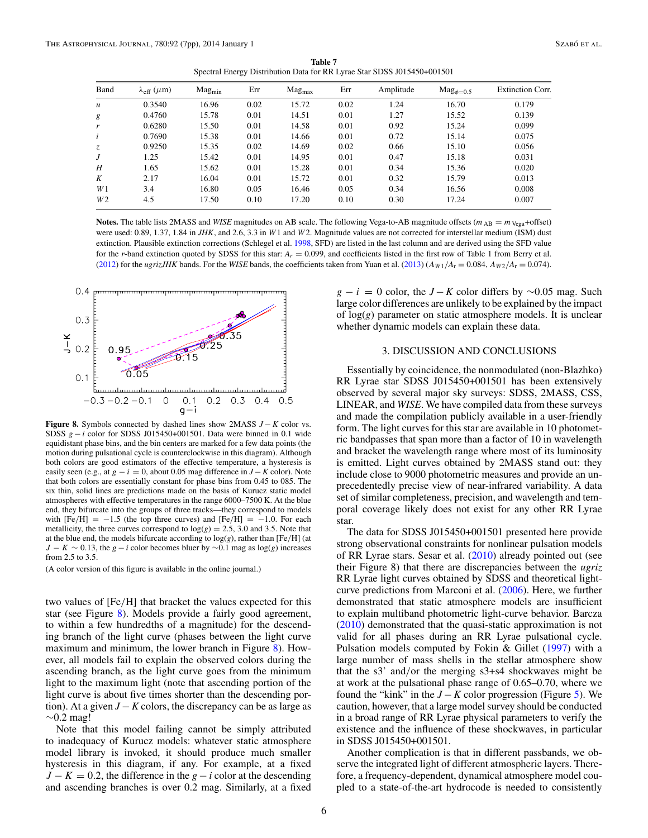**Table 7** Spectral Energy Distribution Data for RR Lyrae Star SDSS J015450+001501

<span id="page-5-0"></span>

| Band           | $\lambda_{\rm eff}$ ( $\mu$ m) | $Mag_{min}$ | Err  | $Mag_{max}$ | Err  | Amplitude | $Mag_{\phi=0.5}$ | <b>Extinction Corr.</b> |
|----------------|--------------------------------|-------------|------|-------------|------|-----------|------------------|-------------------------|
| $\mathfrak u$  | 0.3540                         | 16.96       | 0.02 | 15.72       | 0.02 | 1.24      | 16.70            | 0.179                   |
| g              | 0.4760                         | 15.78       | 0.01 | 14.51       | 0.01 | 1.27      | 15.52            | 0.139                   |
| r              | 0.6280                         | 15.50       | 0.01 | 14.58       | 0.01 | 0.92      | 15.24            | 0.099                   |
| i              | 0.7690                         | 15.38       | 0.01 | 14.66       | 0.01 | 0.72      | 15.14            | 0.075                   |
| Z.             | 0.9250                         | 15.35       | 0.02 | 14.69       | 0.02 | 0.66      | 15.10            | 0.056                   |
| J              | 1.25                           | 15.42       | 0.01 | 14.95       | 0.01 | 0.47      | 15.18            | 0.031                   |
| Η              | 1.65                           | 15.62       | 0.01 | 15.28       | 0.01 | 0.34      | 15.36            | 0.020                   |
| K              | 2.17                           | 16.04       | 0.01 | 15.72       | 0.01 | 0.32      | 15.79            | 0.013                   |
| W1             | 3.4                            | 16.80       | 0.05 | 16.46       | 0.05 | 0.34      | 16.56            | 0.008                   |
| W <sub>2</sub> | 4.5                            | 17.50       | 0.10 | 17.20       | 0.10 | 0.30      | 17.24            | 0.007                   |

**Notes.** The table lists 2MASS and *WISE* magnitudes on AB scale. The following Vega-to-AB magnitude offsets ( $m_{AB} = m_{Vega} + \text{offset}$ ) were used: 0.89, 1.37, 1.84 in *JHK*, and 2.6, 3.3 in *W*1 and *W*2. Magnitude values are not corrected for interstellar medium (ISM) dust extinction. Plausible extinction corrections (Schlegel et al. [1998,](#page-6-0) SFD) are listed in the last column and are derived using the SFD value for the *r*-band extinction quoted by SDSS for this star: *Ar* = 0.099, and coefficients listed in the first row of Table 1 from Berry et al. [\(2012\)](#page-6-0) for the *ugrizJHK* bands. For the *WISE* bands, the coefficients taken from Yuan et al. [\(2013\)](#page-6-0)  $(A_{W1}/A_{r} = 0.084, A_{W2}/A_{r} = 0.074$ ).



**Figure 8.** Symbols connected by dashed lines show 2MASS *J* − *K* color vs. SDSS  $g - i$  color for SDSS J015450+001501. Data were binned in 0.1 wide equidistant phase bins, and the bin centers are marked for a few data points (the motion during pulsational cycle is counterclockwise in this diagram). Although both colors are good estimators of the effective temperature, a hysteresis is easily seen (e.g., at  $g - i = 0$ , about 0.05 mag difference in  $J - K$  color). Note that both colors are essentially constant for phase bins from 0.45 to 085. The six thin, solid lines are predictions made on the basis of Kurucz static model atmospheres with effective temperatures in the range 6000–7500 K. At the blue end, they bifurcate into the groups of three tracks—they correspond to models with  $[Fe/H] = -1.5$  (the top three curves) and  $[Fe/H] = -1.0$ . For each metallicity, the three curves correspond to  $log(g) = 2.5$ , 3.0 and 3.5. Note that at the blue end, the models bifurcate according to log(*g*), rather than [Fe*/*H] (at *J* − *K*  $\sim$  0.13, the *g* − *i* color becomes bluer by  $\sim$ 0.1 mag as log(*g*) increases from  $2.5$  to  $3.5$ .

(A color version of this figure is available in the online journal.)

two values of [Fe*/*H] that bracket the values expected for this star (see Figure 8). Models provide a fairly good agreement, to within a few hundredths of a magnitude) for the descending branch of the light curve (phases between the light curve maximum and minimum, the lower branch in Figure  $\frac{8}{1}$ . However, all models fail to explain the observed colors during the ascending branch, as the light curve goes from the minimum light to the maximum light (note that ascending portion of the light curve is about five times shorter than the descending portion). At a given  $J - K$  colors, the discrepancy can be as large as  $\sim 0.2$  mag!

Note that this model failing cannot be simply attributed to inadequacy of Kurucz models: whatever static atmosphere model library is invoked, it should produce much smaller hysteresis in this diagram, if any. For example, at a fixed  $J - K = 0.2$ , the difference in the  $g - i$  color at the descending and ascending branches is over 0.2 mag. Similarly, at a fixed

 $g - i = 0$  color, the *J* − *K* color differs by ∼0.05 mag. Such large color differences are unlikely to be explained by the impact of log(*g*) parameter on static atmosphere models. It is unclear whether dynamic models can explain these data.

#### 3. DISCUSSION AND CONCLUSIONS

Essentially by coincidence, the nonmodulated (non-Blazhko) RR Lyrae star SDSS J015450+001501 has been extensively observed by several major sky surveys: SDSS, 2MASS, CSS, LINEAR, and *WISE*. We have compiled data from these surveys and made the compilation publicly available in a user-friendly form. The light curves for this star are available in 10 photometric bandpasses that span more than a factor of 10 in wavelength and bracket the wavelength range where most of its luminosity is emitted. Light curves obtained by 2MASS stand out: they include close to 9000 photometric measures and provide an unprecedentedly precise view of near-infrared variability. A data set of similar completeness, precision, and wavelength and temporal coverage likely does not exist for any other RR Lyrae star.

The data for SDSS J015450+001501 presented here provide strong observational constraints for nonlinear pulsation models of RR Lyrae stars. Sesar et al. [\(2010\)](#page-6-0) already pointed out (see their Figure 8) that there are discrepancies between the *ugriz* RR Lyrae light curves obtained by SDSS and theoretical lightcurve predictions from Marconi et al. [\(2006\)](#page-6-0). Here, we further demonstrated that static atmosphere models are insufficient to explain multiband photometric light-curve behavior. Barcza [\(2010\)](#page-6-0) demonstrated that the quasi-static approximation is not valid for all phases during an RR Lyrae pulsational cycle. Pulsation models computed by Fokin & Gillet [\(1997\)](#page-6-0) with a large number of mass shells in the stellar atmosphere show that the s3' and*/*or the merging s3+s4 shockwaves might be at work at the pulsational phase range of 0.65–0.70, where we found the "kink" in the  $J - K$  color progression (Figure [5\)](#page-3-0). We caution, however, that a large model survey should be conducted in a broad range of RR Lyrae physical parameters to verify the existence and the influence of these shockwaves, in particular in SDSS J015450+001501.

Another complication is that in different passbands, we observe the integrated light of different atmospheric layers. Therefore, a frequency-dependent, dynamical atmosphere model coupled to a state-of-the-art hydrocode is needed to consistently